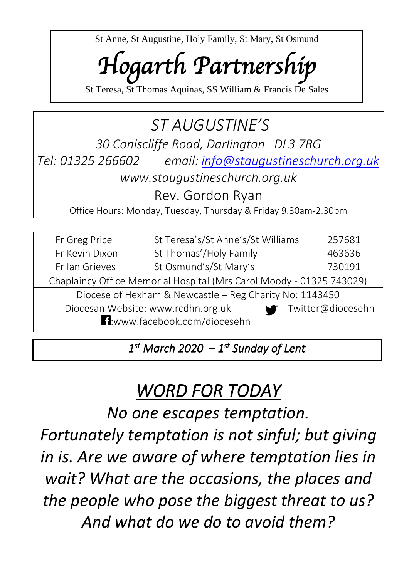St Anne, St Augustine, Holy Family, St Mary, St Osmund

# *Hogarth Partnership*

St Teresa, St Thomas Aquinas, SS William & Francis De Sales

*ST AUGUSTINE'S 30 Coniscliffe Road, Darlington DL3 7RG Tel: 01325 266602 email: [info@staugustineschurch.org.uk](mailto:info@staugustineschurch.org.uk) www.staugustineschurch.org.uk*

Rev. Gordon Ryan

Office Hours: Monday, Tuesday, Thursday & Friday 9.30am-2.30pm

| Fr Greg Price                                                                    | St Teresa's/St Anne's/St Williams | 257681 |  |  |  |
|----------------------------------------------------------------------------------|-----------------------------------|--------|--|--|--|
| Fr Kevin Dixon                                                                   | St Thomas'/Holy Family            | 463636 |  |  |  |
| Fr Ian Grieves                                                                   | St Osmund's/St Mary's             | 730191 |  |  |  |
| Chaplaincy Office Memorial Hospital (Mrs Carol Moody - 01325 743029)             |                                   |        |  |  |  |
| Diocese of Hexham & Newcastle - Reg Charity No: 1143450                          |                                   |        |  |  |  |
| Diocesan Website: www.rcdhn.org.uk<br>Twitter@diocesehn<br>$\blacktriangleright$ |                                   |        |  |  |  |
| H:www.facebook.com/diocesehn                                                     |                                   |        |  |  |  |

 *1 st March 2020 – 1 st Sunday of Lent* 

# *WORD FOR TODAY*

*No one escapes temptation.* 

*Fortunately temptation is not sinful; but giving in is. Are we aware of where temptation lies in wait? What are the occasions, the places and the people who pose the biggest threat to us? And what do we do to avoid them?*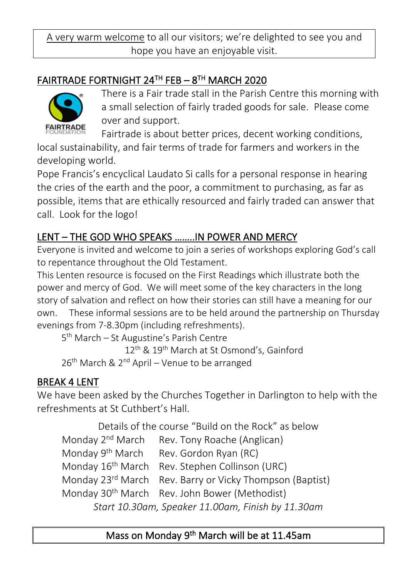A very warm welcome to all our visitors; we're delighted to see you and hope you have an enjoyable visit.

# FAIRTRADE FORTNIGHT 24TH FEB – 8 TH MARCH 2020



There is a Fair trade stall in the Parish Centre this morning with a small selection of fairly traded goods for sale. Please come over and support.

Fairtrade is about better prices, decent working conditions,

local sustainability, and fair terms of trade for farmers and workers in the developing world.

Pope Francis's encyclical Laudato Si calls for a personal response in hearing the cries of the earth and the poor, a commitment to purchasing, as far as possible, items that are ethically resourced and fairly traded can answer that call. Look for the logo!

# LENT – THE GOD WHO SPEAKS ……..IN POWER AND MERCY

Everyone is invited and welcome to join a series of workshops exploring God's call to repentance throughout the Old Testament.

This Lenten resource is focused on the First Readings which illustrate both the power and mercy of God. We will meet some of the key characters in the long story of salvation and reflect on how their stories can still have a meaning for our own. These informal sessions are to be held around the partnership on Thursday evenings from 7-8.30pm (including refreshments).

5<sup>th</sup> March – St Augustine's Parish Centre

12<sup>th</sup> & 19<sup>th</sup> March at St Osmond's, Gainford  $26<sup>th</sup>$  March &  $2<sup>nd</sup>$  April – Venue to be arranged

# BREAK 4 LENT

We have been asked by the Churches Together in Darlington to help with the refreshments at St Cuthbert's Hall.

Details of the course "Build on the Rock" as below Monday 2<sup>nd</sup> March Rev. Tony Roache (Anglican) Monday 9<sup>th</sup> March Rev. Gordon Ryan (RC) Monday 16<sup>th</sup> March Rev. Stephen Collinson (URC) Monday 23<sup>rd</sup> March Rev. Barry or Vicky Thompson (Baptist) Monday 30<sup>th</sup> March Rev. John Bower (Methodist) *Start 10.30am, Speaker 11.00am, Finish by 11.30am*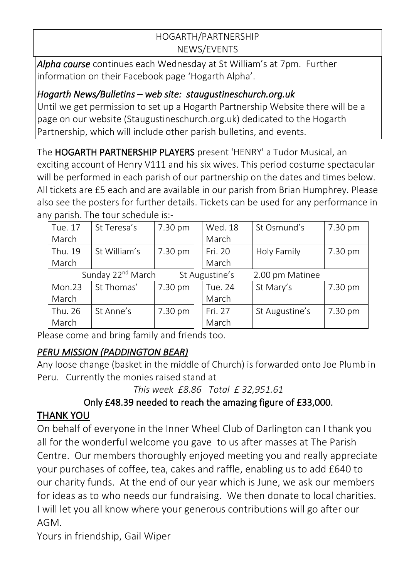#### HOGARTH/PARTNERSHIP NEWS/EVENTS

*Alpha course* continues each Wednesday at St William's at 7pm. Further information on their Facebook page 'Hogarth Alpha'.

# *Hogarth News/Bulletins – web site: staugustineschurch.org.uk*

Until we get permission to set up a Hogarth Partnership Website there will be a page on our website (Staugustineschurch.org.uk) dedicated to the Hogarth Partnership, which will include other parish bulletins, and events.

The HOGARTH PARTNERSHIP PLAYERS present 'HENRY' a Tudor Musical, an exciting account of Henry V111 and his six wives. This period costume spectacular will be performed in each parish of our partnership on the dates and times below. All tickets are £5 each and are available in our parish from Brian Humphrey. Please also see the posters for further details. Tickets can be used for any performance in any parish. The tour schedule is:-

| Tue. 17                       | St Teresa's  | 7.30 pm |                                   | Wed. 18 | St Osmund's    | 7.30 pm |
|-------------------------------|--------------|---------|-----------------------------------|---------|----------------|---------|
|                               |              |         |                                   |         |                |         |
| March                         |              |         |                                   | March   |                |         |
| Thu. 19                       | St William's | 7.30 pm |                                   | Fri. 20 | Holy Family    | 7.30 pm |
| March                         |              |         |                                   | March   |                |         |
| Sunday 22 <sup>nd</sup> March |              |         | St Augustine's<br>2.00 pm Matinee |         |                |         |
| Mon.23                        | St Thomas'   | 7.30 pm |                                   | Tue. 24 | St Mary's      | 7.30 pm |
| March                         |              |         |                                   | March   |                |         |
| Thu. 26                       | St Anne's    | 7.30 pm |                                   | Fri. 27 | St Augustine's | 7.30 pm |
| March                         |              |         |                                   | March   |                |         |

Please come and bring family and friends too.

# *PERU MISSION (PADDINGTON BEAR)*

Any loose change (basket in the middle of Church) is forwarded onto Joe Plumb in Peru. Currently the monies raised stand at

*This week £8.86 Total £ 32,951.61*

# Only £48.39 needed to reach the amazing figure of £33,000.

# THANK YOU

On behalf of everyone in the Inner Wheel Club of Darlington can I thank you all for the wonderful welcome you gave to us after masses at The Parish Centre. Our members thoroughly enjoyed meeting you and really appreciate your purchases of coffee, tea, cakes and raffle, enabling us to add £640 to our charity funds. At the end of our year which is June, we ask our members for ideas as to who needs our fundraising. We then donate to local charities. I will let you all know where your generous contributions will go after our AGM.

Yours in friendship, Gail Wiper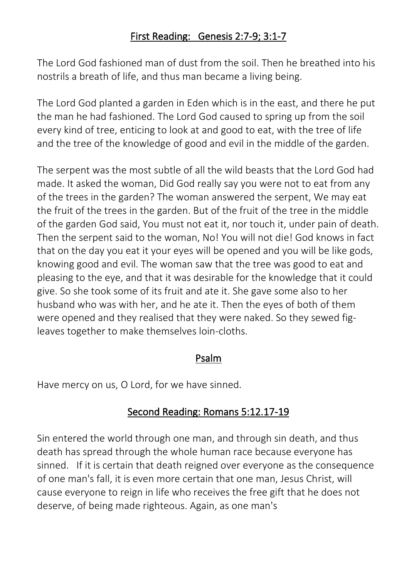#### First Reading: Genesis 2:7-9; 3:1-7

The Lord God fashioned man of dust from the soil. Then he breathed into his nostrils a breath of life, and thus man became a living being.

The Lord God planted a garden in Eden which is in the east, and there he put the man he had fashioned. The Lord God caused to spring up from the soil every kind of tree, enticing to look at and good to eat, with the tree of life and the tree of the knowledge of good and evil in the middle of the garden.

The serpent was the most subtle of all the wild beasts that the Lord God had made. It asked the woman, Did God really say you were not to eat from any of the trees in the garden? The woman answered the serpent, We may eat the fruit of the trees in the garden. But of the fruit of the tree in the middle of the garden God said, You must not eat it, nor touch it, under pain of death. Then the serpent said to the woman, No! You will not die! God knows in fact that on the day you eat it your eyes will be opened and you will be like gods, knowing good and evil. The woman saw that the tree was good to eat and pleasing to the eye, and that it was desirable for the knowledge that it could give. So she took some of its fruit and ate it. She gave some also to her husband who was with her, and he ate it. Then the eyes of both of them were opened and they realised that they were naked. So they sewed figleaves together to make themselves loin-cloths.

#### Psalm

Have mercy on us, O Lord, for we have sinned.

#### Second Reading: Romans 5:12.17-19

Sin entered the world through one man, and through sin death, and thus death has spread through the whole human race because everyone has sinned. If it is certain that death reigned over everyone as the consequence of one man's fall, it is even more certain that one man, Jesus Christ, will cause everyone to reign in life who receives the free gift that he does not deserve, of being made righteous. Again, as one man's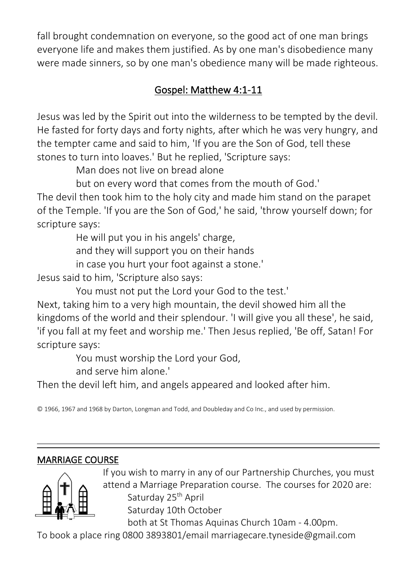fall brought condemnation on everyone, so the good act of one man brings everyone life and makes them justified. As by one man's disobedience many were made sinners, so by one man's obedience many will be made righteous.

# Gospel: Matthew 4:1-11

Jesus was led by the Spirit out into the wilderness to be tempted by the devil. He fasted for forty days and forty nights, after which he was very hungry, and the tempter came and said to him, 'If you are the Son of God, tell these stones to turn into loaves.' But he replied, 'Scripture says:

Man does not live on bread alone

but on every word that comes from the mouth of God.'

The devil then took him to the holy city and made him stand on the parapet of the Temple. 'If you are the Son of God,' he said, 'throw yourself down; for scripture says:

He will put you in his angels' charge,

and they will support you on their hands

in case you hurt your foot against a stone.'

Jesus said to him, 'Scripture also says:

You must not put the Lord your God to the test.'

Next, taking him to a very high mountain, the devil showed him all the kingdoms of the world and their splendour. 'I will give you all these', he said, 'if you fall at my feet and worship me.' Then Jesus replied, 'Be off, Satan! For scripture says:

You must worship the Lord your God,

and serve him alone.'

Then the devil left him, and angels appeared and looked after him.

© 1966, 1967 and 1968 by Darton, Longman and Todd, and Doubleday and Co Inc., and used by permission.

# MARRIAGE COURSE



If you wish to marry in any of our Partnership Churches, you must attend a Marriage Preparation course. The courses for 2020 are: Saturday 25<sup>th</sup> April Saturday 10th October

both at St Thomas Aquinas Church 10am - 4.00pm.

To book a place ring 0800 3893801/email marriagecare.tyneside@gmail.com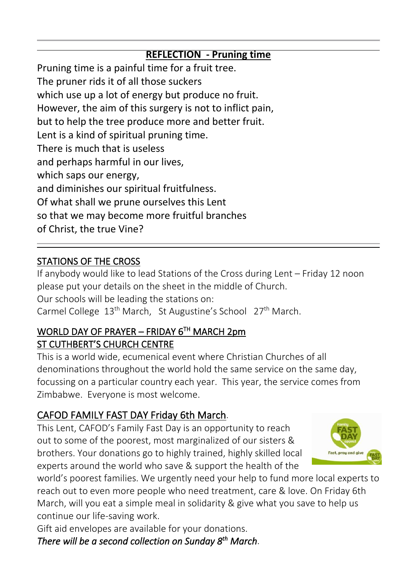#### **REFLECTION - Pruning time**

Pruning time is a painful time for a fruit tree. The pruner rids it of all those suckers which use up a lot of energy but produce no fruit. However, the aim of this surgery is not to inflict pain, but to help the tree produce more and better fruit. Lent is a kind of spiritual pruning time. There is much that is useless and perhaps harmful in our lives, which saps our energy, and diminishes our spiritual fruitfulness. Of what shall we prune ourselves this Lent so that we may become more fruitful branches of Christ, the true Vine?

### STATIONS OF THE CROSS

If anybody would like to lead Stations of the Cross during Lent – Friday 12 noon please put your details on the sheet in the middle of Church. Our schools will be leading the stations on:

Carmel College 13<sup>th</sup> March, St Augustine's School 27<sup>th</sup> March.

#### WORLD DAY OF PRAYER - FRIDAY 6TH MARCH 2pm ST CUTHBERT'S CHURCH CENTRE

This is a world wide, ecumenical event where Christian Churches of all denominations throughout the world hold the same service on the same day, focussing on a particular country each year. This year, the service comes from Zimbabwe. Everyone is most welcome.

# CAFOD FAMILY FAST DAY Friday 6th March.

This Lent, CAFOD's Family Fast Day is an opportunity to reach out to some of the poorest, most marginalized of our sisters & brothers. Your donations go to highly trained, highly skilled local experts around the world who save & support the health of the



world's poorest families. We urgently need your help to fund more local experts to reach out to even more people who need treatment, care & love. On Friday 6th March, will you eat a simple meal in solidarity & give what you save to help us continue our life-saving work.

Gift aid envelopes are available for your donations. *There will be a second collection on Sunday 8th March*.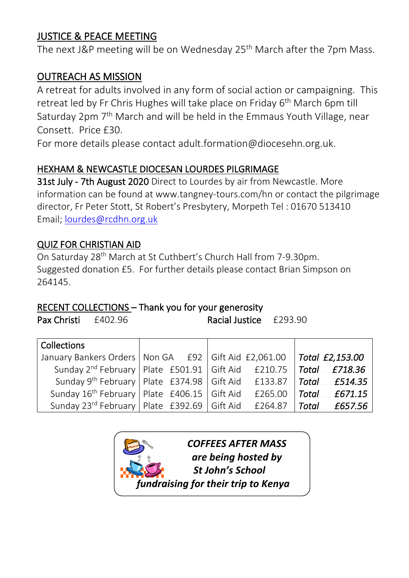#### JUSTICE & PEACE MEETING

The next J&P meeting will be on Wednesday 25<sup>th</sup> March after the 7pm Mass.

#### OUTREACH AS MISSION

A retreat for adults involved in any form of social action or campaigning. This retreat led by Fr Chris Hughes will take place on Friday 6<sup>th</sup> March 6pm till Saturday 2pm 7<sup>th</sup> March and will be held in the Emmaus Youth Village, near Consett. Price £30.

For more details please contact adult.formation@diocesehn.org.uk.

#### HEXHAM & NEWCASTLE DIOCESAN LOURDES PILGRIMAGE

31st July - 7th August 2020 Direct to Lourdes by air from Newcastle. More information can be found at www.tangney-tours.com/hn or contact the pilgrimage director, Fr Peter Stott, St Robert's Presbytery, Morpeth Tel : 01670 513410 Email; [lourdes@rcdhn.org.uk](mailto:lourdes@rcdhn.org.uk)

#### QUIZ FOR CHRISTIAN AID

On Saturday 28<sup>th</sup> March at St Cuthbert's Church Hall from 7-9.30pm. Suggested donation £5. For further details please contact Brian Simpson on 264145.

#### RECENT COLLECTIONS – Thank you for your generosity

| Racial Justice £293.90<br>Pax Christi £402.96 |
|-----------------------------------------------|
|-----------------------------------------------|

| Collections                                                                        |  |  |               |         |
|------------------------------------------------------------------------------------|--|--|---------------|---------|
| January Bankers Orders   Non GA $\pm$ 92   Gift Aid £2,061.00   Total £2,153.00    |  |  |               |         |
| Sunday 2 <sup>nd</sup> February   Plate £501.91   Gift Aid £210.75   Total £718.36 |  |  |               |         |
| Sunday 9 <sup>th</sup> February   Plate £374.98   Gift Aid £133.87   Total £514.35 |  |  |               |         |
| Sunday $16^{th}$ February   Plate £406.15   Gift Aid £265.00                       |  |  | $\vert$ Total | £671.15 |
| Sunday 23rd February   Plate £392.69   Gift Aid £264.87                            |  |  | Total         | £657.56 |



 *COFFEES AFTER MASS are being hosted by St John's School fundraising for their trip to Kenya*